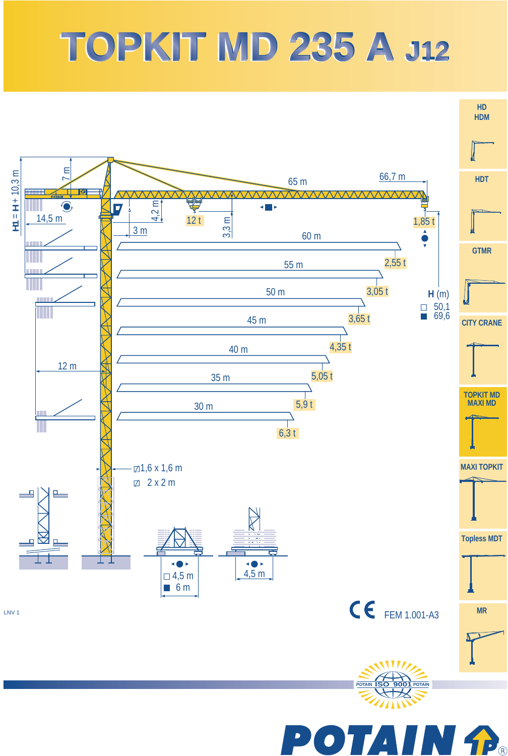# **TOPKIT MD 235 A TOPKIT MD 235 A J12 J12**



 $\blacktriangleright$  $\mathbf{P}_\mathrm{B}$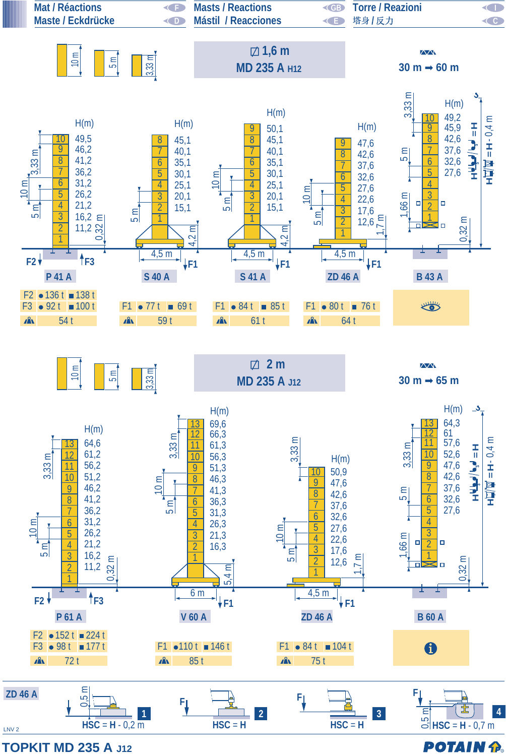

**TOPKIT MD 235 A J12**

**POTAIN P.**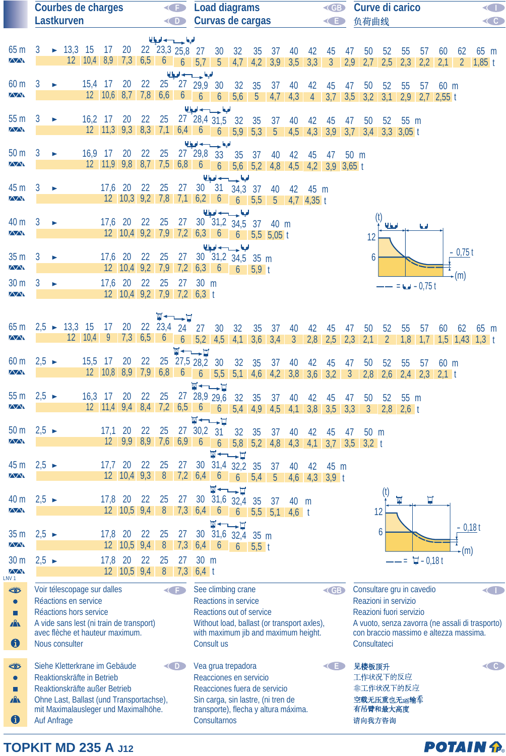|                                              | <b>Courbes de charges</b><br>G |                       |                                                                                  |                       |           |                                                           |                 |                  | <b>Load diagrams</b><br><b>KGB</b><br>Curvas de cargas |                    |                                                                                                                                                   |                                 |                |      |                                |                |                      | Curve di carico |                                                                                           |           |                         |                               |           |          | O                          |                              |
|----------------------------------------------|--------------------------------|-----------------------|----------------------------------------------------------------------------------|-----------------------|-----------|-----------------------------------------------------------|-----------------|------------------|--------------------------------------------------------|--------------------|---------------------------------------------------------------------------------------------------------------------------------------------------|---------------------------------|----------------|------|--------------------------------|----------------|----------------------|-----------------|-------------------------------------------------------------------------------------------|-----------|-------------------------|-------------------------------|-----------|----------|----------------------------|------------------------------|
|                                              |                                |                       | <b>Lastkurven</b>                                                                |                       |           |                                                           |                 |                  | O                                                      |                    |                                                                                                                                                   |                                 |                |      |                                |                | <b>KED</b>           |                 | 负荷曲线                                                                                      |           |                         |                               |           |          |                            | $\left\langle \right\rangle$ |
| 65 <sub>m</sub>                              |                                |                       | $-13,3$ 15                                                                       |                       |           |                                                           |                 | الملجا حسيب لحيا |                                                        |                    |                                                                                                                                                   |                                 |                |      |                                |                |                      |                 |                                                                                           |           |                         |                               |           |          |                            |                              |
| $\overline{\triangle\triangle}$              | 3                              |                       |                                                                                  |                       | 17        | 20                                                        |                 | 22 23,3 25,8 27  |                                                        |                    | 30<br>$12$   $10,4$   $8,9$   $7,3$   $6,5$   $6$   $6$   $5,7$   $5$   $4,7$                                                                     | 32                              | 35             | 37   | 40<br>$4,2$ $3,9$ $3,5$        | 42<br>3,3      | 45<br>$\overline{3}$ | 47<br>2,9       | 50<br>2,7                                                                                 | 52<br>2,5 | 55<br>2,3               | 57<br>2,2                     | 60<br>2,1 | 62       | 65 m<br>$2 \, 1,85 \, t$   |                              |
|                                              |                                |                       |                                                                                  |                       |           |                                                           |                 |                  |                                                        | الملجعا حسب لحيا   |                                                                                                                                                   |                                 |                |      |                                |                |                      |                 |                                                                                           |           |                         |                               |           |          |                            |                              |
| 60 m<br>$\overline{\wedge}\wedge$            | 3                              |                       |                                                                                  | 15,4 17               |           | 20<br>$12$ $10,6$ 8,7 7,8 6,6 6 6                         | 22              |                  |                                                        | 25 27 29,9 30      |                                                                                                                                                   | 32                              | 35             | 37   | 40                             | 42             | 45                   | 47              | 50                                                                                        | 52        | 55                      | 57                            | 60 m      |          |                            |                              |
|                                              |                                |                       |                                                                                  |                       |           |                                                           |                 |                  |                                                        |                    | 6 <sup>1</sup><br>الملجا حسيب لحيا                                                                                                                | 5,6                             | 5 <sup>5</sup> | 4,7  | 4,3                            | $\overline{4}$ | 3,7                  |                 | $3,5$ $3,2$                                                                               | 3,1       |                         | $2,9$ 2,7 2,55 t              |           |          |                            |                              |
| 55 m                                         | 3                              |                       |                                                                                  |                       | $16,2$ 17 | 20                                                        | 22              | 25               |                                                        |                    | $27^{6}$ 28,4 31,5                                                                                                                                | 32                              | 35             | 37   | 40                             | 42             | 45                   | 47              | 50                                                                                        | 52        | 55 m                    |                               |           |          |                            |                              |
| $\sqrt{N}$                                   |                                |                       |                                                                                  |                       |           |                                                           |                 |                  |                                                        |                    | $12$   $11,3$   $9,3$   $8,3$   $7,1$   $6,4$   $6$   $6$   $5,9$                                                                                 |                                 |                |      | $5,3$ $5$ $4,5$ $4,3$ $3,9$    |                |                      |                 | $3,7$ $3,4$ $3,3$ $3,05$ t                                                                |           |                         |                               |           |          |                            |                              |
| 50 <sub>m</sub>                              | 3                              |                       |                                                                                  | $16.9$ 17             |           | 20                                                        | 22              | 25               |                                                        | 27 29,8 33         | الملجا حسيب لحيا                                                                                                                                  | 35                              | 37             | 40   | 42                             | 45             | 47                   | 50 m            |                                                                                           |           |                         |                               |           |          |                            |                              |
| $\sqrt{N}$                                   |                                |                       |                                                                                  |                       |           | $12$ $11,9$ $9,8$ $8,7$ $7,5$ $6,8$                       |                 |                  |                                                        | $6\overline{6}$    | 6                                                                                                                                                 |                                 |                |      | 5,6 5,2 4,8 4,5 4,2 3,9 3,65 t |                |                      |                 |                                                                                           |           |                         |                               |           |          |                            |                              |
| 45 m                                         | 3                              |                       |                                                                                  |                       | $17,6$ 20 |                                                           | 22 25           |                  | 27                                                     | 30                 | الملجا حسيب لحيا<br>31                                                                                                                            |                                 |                |      |                                |                |                      |                 |                                                                                           |           |                         |                               |           |          |                            |                              |
| $\overline{\wedge}\wedge$                    |                                |                       |                                                                                  |                       |           | $12$ $10,3$ $9,2$ $7,8$ $7,1$ $6,2$ 6                     |                 |                  |                                                        |                    |                                                                                                                                                   | 34,3 37<br>$6 \quad 5,5$        |                | 40   | $5$ 4,7 4,35 t                 | 42 45 m        |                      |                 |                                                                                           |           |                         |                               |           |          |                            |                              |
|                                              |                                |                       |                                                                                  |                       |           |                                                           |                 |                  |                                                        |                    | الملحة حسيدها                                                                                                                                     |                                 |                |      |                                |                |                      |                 |                                                                                           |           |                         |                               |           |          |                            |                              |
| 40 m<br>$\sqrt{2}$                           | 3                              |                       |                                                                                  |                       |           | 17,6 20 22 25                                             |                 |                  | 27                                                     |                    | 30 31,2 34,5 37<br>12 10,4 9,2 7,9 7,2 6,3 6 6 5,5 5,05 t                                                                                         |                                 |                | 40 m |                                |                |                      |                 |                                                                                           | لهطله     |                         | اما                           |           |          |                            |                              |
|                                              |                                |                       |                                                                                  |                       |           |                                                           |                 |                  |                                                        |                    | الملحة وسيدادها                                                                                                                                   |                                 |                |      |                                |                |                      |                 | 12                                                                                        |           |                         |                               |           |          |                            |                              |
| 35 <sub>m</sub>                              | 3                              |                       |                                                                                  |                       | 17,6 20   |                                                           | 22 25           |                  | 27                                                     |                    | 30 31,2 34,5 35 m                                                                                                                                 |                                 |                |      |                                |                |                      |                 | 6                                                                                         |           |                         |                               |           | $-0,75t$ |                            |                              |
| $\overline{\wedge}\wedge$                    |                                |                       |                                                                                  |                       |           |                                                           |                 |                  |                                                        |                    | 12 10,4 9,2 7,9 7,2 6,3 6 6 5,9 t                                                                                                                 |                                 |                |      |                                |                |                      |                 |                                                                                           |           |                         |                               |           | -(m)     |                            |                              |
| 30 <sub>m</sub><br>$\overline{\wedge}\wedge$ | 3                              | $\blacktriangleright$ |                                                                                  |                       |           | 17,6 20 22 25<br>12 10,4 9,2 7,9 7,2 6,3 t                |                 |                  | 27                                                     | 30 m               |                                                                                                                                                   |                                 |                |      |                                |                |                      |                 |                                                                                           |           |                         | $= 0.75 t$                    |           |          |                            |                              |
|                                              |                                |                       |                                                                                  |                       |           |                                                           |                 |                  |                                                        |                    |                                                                                                                                                   |                                 |                |      |                                |                |                      |                 |                                                                                           |           |                         |                               |           |          |                            |                              |
| 65 <sub>m</sub>                              |                                |                       | $2.5 \rightarrow 13.3$ 15                                                        |                       | 17        | 20                                                        |                 | 22 23,4 24       | W←∟→µ                                                  | 27                 | 30 <sup>°</sup>                                                                                                                                   | 32                              | 35             | 37   | 40                             | 42             | 45                   | 47              | 50                                                                                        | 52        | 55                      | 57                            | 60        | 62       | 65 m                       |                              |
| $\sqrt{2}$                                   |                                |                       |                                                                                  | $12 \mid 10,4 \mid 9$ |           | $\vert 7,3 \vert$                                         | 6,5             | $6\overline{6}$  | $\overline{6}$                                         |                    | $5,2$ 4,5 4,1                                                                                                                                     |                                 |                |      |                                |                |                      |                 | $3,6$ $3,4$ $3$ $2,8$ $2,5$ $2,3$ $2,1$                                                   |           |                         |                               |           |          | $2$ 1,8 1,7 1,5 1,43 1,3 t |                              |
|                                              |                                |                       |                                                                                  |                       |           |                                                           |                 |                  |                                                        | <b>W←→H</b>        |                                                                                                                                                   |                                 |                |      |                                |                |                      |                 |                                                                                           |           |                         |                               |           |          |                            |                              |
| 60 <sub>m</sub><br>$\sqrt{N}$                | $2,5 \rightarrow$              |                       |                                                                                  | 15,5 17               |           | 20                                                        | 22              |                  |                                                        | $25$ $27,5$ $28,2$ | 30<br>$12 \quad 10,8 \quad 8,9 \quad 7,9 \quad 6,8 \quad 6 \quad 6 \quad 5,5 \quad 5,1 \quad 4,6 \quad 4,2 \quad 3,8 \quad 3,6 \quad 3,2 \quad 3$ | 32                              | 35             | 37   | 40                             | 42             | 45                   | 47              | 50                                                                                        | 52        | 55                      | 57<br>$2,8$ 2,6 2,4 2,3 2,1 t | 60 m      |          |                            |                              |
|                                              |                                |                       |                                                                                  |                       |           |                                                           |                 |                  |                                                        |                    | W←→H                                                                                                                                              |                                 |                |      |                                |                |                      |                 |                                                                                           |           |                         |                               |           |          |                            |                              |
| 55 <sub>m</sub><br>$\overline{\wedge}$       | $2,5 \rightarrow$              |                       |                                                                                  | $16,3$ 17             |           | 20                                                        | 22              | 25               |                                                        |                    | 27 28,9 29,6<br>$12$ $11,4$ 9,4 8,4 7,2 6,5 6 6 5,4 4,9 4,5 4,1 3,8 3,5 3,3 3                                                                     |                                 | 32 35          | 37   | 40                             | 42             | 45                   | 47              | 50                                                                                        | 52        | 55 m<br>$2,8$ 2,6 t     |                               |           |          |                            |                              |
|                                              |                                |                       |                                                                                  |                       |           |                                                           |                 |                  |                                                        |                    | $\P \leftarrow \rightarrow \blacksquare$                                                                                                          |                                 |                |      |                                |                |                      |                 |                                                                                           |           |                         |                               |           |          |                            |                              |
| 50 <sub>m</sub><br><b>AAN</b>                | $2,5 \rightarrow$              |                       |                                                                                  |                       | 17,1      | 20<br>$12 \quad 9.9$                                      | 22<br>$8,9$ 7.6 | 25               |                                                        | 27 30,2            | 31                                                                                                                                                | 32                              | 35             | 37   | 40                             | 42             | 45                   | 41              | $50 \text{ m}$                                                                            |           |                         |                               |           |          |                            |                              |
|                                              |                                |                       |                                                                                  |                       |           |                                                           |                 |                  | $6,9$ 6                                                |                    | 6<br>™ ←                                                                                                                                          | 5,8<br>$\overline{\phantom{a}}$ | 5,2            | 4,8  | 4,3                            | 4,1            | 3,7                  | 3,5             | $3,2$ t                                                                                   |           |                         |                               |           |          |                            |                              |
| 45 m                                         | $2,5 \rightarrow$              |                       |                                                                                  |                       | $17,7$ 20 |                                                           | 22              | 25               | 27                                                     | 30 <sup>°</sup>    | $31,4$ $32,2$                                                                                                                                     |                                 | 35             | 37   | 40                             | 42             | 45 m                 |                 |                                                                                           |           |                         |                               |           |          |                            |                              |
| $\overline{\triangle\triangle}$              |                                |                       |                                                                                  |                       |           | $12 \quad 10,4 \quad 9,3$                                 |                 | 8                |                                                        | $7,2$ 6,4          | $\mathfrak b$<br>M                                                                                                                                | $\overline{6}$                  | 5,4            | 5    | 4,6                            | 4,3            | $3,9$ t              |                 |                                                                                           |           |                         |                               |           |          |                            |                              |
| 40 m                                         | $2,5 \rightarrow$              |                       |                                                                                  |                       | 17,8      | 20                                                        | 22              | 25               | 27                                                     | 30                 |                                                                                                                                                   | -¤<br>$31,6$ $32,4$             | 35             | 37   | 40                             | m              |                      |                 |                                                                                           | (ť        | $\overline{\mathbb{M}}$ | Ţ                             |           |          |                            |                              |
| $\sqrt{N}$                                   |                                |                       |                                                                                  |                       |           | $12 \quad 10,5 \quad 9,4$                                 |                 | 8                |                                                        | $7,3$ 6,4          | $\mathfrak b$                                                                                                                                     | $\boldsymbol{6}$                | 5,5            |      | $5,1$ 4,6 t                    |                |                      |                 |                                                                                           | 12        |                         |                               |           |          |                            |                              |
| 35 m                                         | $2,5 \rightarrow$              |                       |                                                                                  |                       | 17,8      | 20                                                        | 22              | 25               | 27                                                     | 30                 | M<br>31,6                                                                                                                                         | ∽¤<br>32.4                      | 35 m           |      |                                |                |                      |                 |                                                                                           | 6         |                         |                               |           | $-0,18t$ |                            |                              |
| <b>AAN</b>                                   |                                |                       |                                                                                  |                       |           | $12 \quad 10,5 \quad 9,4$                                 |                 | 8                | 7,3                                                    | 6,4                | $\mathfrak b$                                                                                                                                     | $\mathfrak b$                   | $5.5$ t        |      |                                |                |                      |                 |                                                                                           |           |                         |                               |           | -(m)     |                            |                              |
| 30 m                                         | $2,5 \rightarrow$              |                       |                                                                                  |                       | 17,8      | 20                                                        | 22              | 25               | 27                                                     | 30 m               |                                                                                                                                                   |                                 |                |      |                                |                |                      |                 |                                                                                           |           | $=$ $=$                 | $\Box - 0.18t$                |           |          |                            |                              |
| $\overline{N}$<br>LNV <sub>1</sub>           |                                |                       |                                                                                  |                       |           | $12 \begin{array}{ c c c } \hline 10,5 & 9,4 \end{array}$ |                 | 8                | 7,3                                                    | $6,4$ t            |                                                                                                                                                   |                                 |                |      |                                |                |                      |                 |                                                                                           |           |                         |                               |           |          |                            |                              |
| ₩<br>$\bullet$                               |                                |                       | Voir télescopage sur dalles<br>Réactions en service                              |                       |           |                                                           |                 |                  | G                                                      |                    | See climbing crane<br><b>Reactions in service</b>                                                                                                 |                                 |                |      |                                |                | <b>KGB</b>           |                 | Consultare gru in cavedio<br>Reazioni in servizio                                         |           |                         |                               |           |          |                            | <b>CID</b>                   |
| п                                            |                                |                       | Réactions hors service                                                           |                       |           |                                                           |                 |                  |                                                        |                    | Reactions out of service                                                                                                                          |                                 |                |      |                                |                |                      |                 | Reazioni fuori servizio                                                                   |           |                         |                               |           |          |                            |                              |
| $\mathbf{A}$                                 |                                |                       | A vide sans lest (ni train de transport)<br>avec flèche et hauteur maximum.      |                       |           |                                                           |                 |                  |                                                        |                    | Without load, ballast (or transport axles),<br>with maximum jib and maximum height.                                                               |                                 |                |      |                                |                |                      |                 | A vuoto, senza zavorra (ne assali di trasporto)<br>con braccio massimo e altezza massima. |           |                         |                               |           |          |                            |                              |
| $\bf \bm \theta$                             |                                |                       | Nous consulter                                                                   |                       |           |                                                           |                 |                  |                                                        |                    | Consult us                                                                                                                                        |                                 |                |      |                                |                |                      |                 | Consultateci                                                                              |           |                         |                               |           |          |                            |                              |
| ₩                                            |                                |                       | Siehe Kletterkrane im Gebäude                                                    |                       |           |                                                           |                 |                  | O                                                      |                    | Vea grua trepadora                                                                                                                                |                                 |                |      |                                |                | <b>KE</b>            |                 | 见楼板顶升                                                                                     |           |                         |                               |           |          |                            | $\left( 0\right)$            |
| $\bullet$                                    |                                |                       | Reaktionskräfte in Betrieb                                                       |                       |           |                                                           |                 |                  |                                                        |                    | Reacciones en servicio                                                                                                                            |                                 |                |      |                                |                |                      |                 | 工作状况下的反应                                                                                  |           |                         |                               |           |          |                            |                              |
| п                                            |                                |                       | Reaktionskräfte außer Betrieb                                                    |                       |           |                                                           |                 |                  |                                                        |                    | Reacciones fuera de servicio                                                                                                                      |                                 |                |      |                                |                |                      |                 | 非工作状况下的反应                                                                                 |           |                         |                               |           |          |                            |                              |
| Â                                            |                                |                       | Ohne Last, Ballast (und Transportachse),<br>mit Maximalausleger und Maximalhöhe. |                       |           |                                                           |                 |                  |                                                        |                    | Sin carga, sin lastre, (ni tren de<br>transporte), flecha y altura máxima.                                                                        |                                 |                |      |                                |                |                      |                 | 空载无压重也无运输车<br>有吊臂和最大高度                                                                    |           |                         |                               |           |          |                            |                              |
| $\bf \bm \theta$                             | <b>Auf Anfrage</b>             |                       |                                                                                  |                       |           |                                                           |                 |                  |                                                        |                    | Consultarnos                                                                                                                                      |                                 |                |      |                                |                |                      |                 | 请向我方咨询                                                                                    |           |                         |                               |           |          |                            |                              |

# **TOPKIT MD 235 A J12**

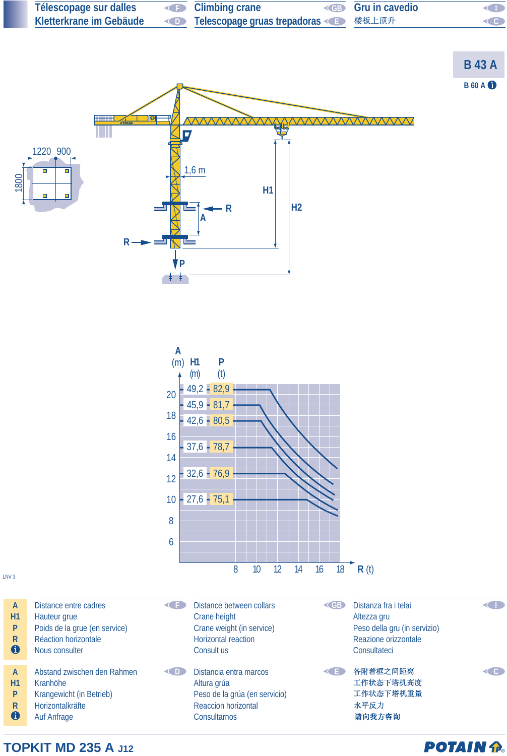

#### **TOPKIT MD 235 A J12**

### **POTAIN P.**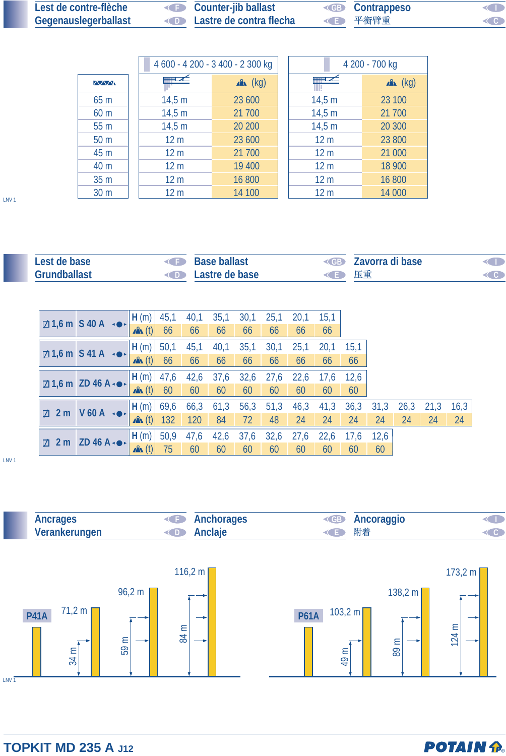| Lest de contre-flèche       | Counter-jib ballast                      | <b>EB</b> Contrappeso | <b>KID</b> |
|-----------------------------|------------------------------------------|-----------------------|------------|
| <b>Gegenauslegerballast</b> | <b>Example 2</b> Lastre de contra flecha | ◆ ● 平衡臂重              | CO         |

|                 |                 | 4 600 - 4 200 - 3 400 - 2 300 kg |  | 4 200 - 700 kg  |            |  |  |  |
|-----------------|-----------------|----------------------------------|--|-----------------|------------|--|--|--|
| $\sqrt{2}$      |                 | $x^2$ (kg)                       |  |                 | $x^2$ (kg) |  |  |  |
| 65 m            | 14,5 m          | 23 600                           |  | 14,5 m          | 23 100     |  |  |  |
| 60 <sub>m</sub> | 14,5 m          | 21 700                           |  | 14,5 m          | 21 700     |  |  |  |
| 55 <sub>m</sub> | 14,5 m          | 20 200                           |  | 14,5 m          | 20 300     |  |  |  |
| 50 <sub>m</sub> | 12 <sub>m</sub> | 23 600                           |  | 12 <sub>m</sub> | 23 800     |  |  |  |
| 45 m            | 12 <sub>m</sub> | 21 700                           |  | 12 <sub>m</sub> | 21 000     |  |  |  |
| 40 m            | 12 <sub>m</sub> | 19 400                           |  | 12 <sub>m</sub> | 18 900     |  |  |  |
| 35 <sub>m</sub> | 12 <sub>m</sub> | 16 800                           |  | 12 <sub>m</sub> | 16 800     |  |  |  |
| 30 <sub>m</sub> | 12 <sub>m</sub> | 14 100                           |  | 12 <sub>m</sub> | 14 000     |  |  |  |

LNV 1

| Lest de base        | <b>Example 3</b> Base ballast   |      | <b>Example 2</b> Zavorra di base | <b>KID</b>                |
|---------------------|---------------------------------|------|----------------------------------|---------------------------|
| <b>Grundballast</b> | <b>Example 2</b> Lastre de base | ◆ 上車 |                                  | $\triangleleft$ $\bullet$ |

|                 | $\boxtimes$ 1,6 m S 40 A $\rightarrow$     | H(m)             | 45,1 | 40,1 | 35,1 | 30,1 | 25,1 | 20,1 | 15,1 |      |      |             |    |      |
|-----------------|--------------------------------------------|------------------|------|------|------|------|------|------|------|------|------|-------------|----|------|
|                 |                                            | $\mathbf{A}$ (t) | 66   | 66   | 66   | 66   | 66   | 66   | 66   |      |      |             |    |      |
|                 | $\boxtimes$ 1,6 m S 41 A $\rightarrow$     | H(m)             | 50,1 | 45,1 | 40,1 | 35,1 | 30,1 | 25,1 | 20,1 | 15,1 |      |             |    |      |
|                 |                                            | $\mathbf{A}$ (t) | 66   | 66   | 66   | 66   | 66   | 66   | 66   | 66   |      |             |    |      |
|                 | $\boxtimes$ 1,6 m ZD 46 A $\bullet\bullet$ | H(m)             | 47,6 | 42,6 | 37,6 | 32,6 | 27,6 | 22,6 | 17,6 | 12,6 |      |             |    |      |
|                 |                                            | $\mathbf{A}$ (t) | 60   | 60   | 60   | 60   | 60   | 60   | 60   | 60   |      |             |    |      |
|                 | $V$ 60 A $\rightarrow$                     | H(m)             | 69,6 | 66,3 | 61,3 | 56,3 | 51,3 | 46,3 | 41,3 | 36,3 | 31,3 | $26,3$ 21,3 |    | 16,3 |
| $\boxtimes$ 2 m |                                            | $\mathbf{A}$ (t) | 132  | 120  | 84   | 72   | 48   | 24   | 24   | 24   | 24   | 24          | 24 | 24   |
|                 | $\boxtimes$ 2 m ZD 46 A $\bullet\bullet$   | H(m)             | 50,9 | 47,6 | 42,6 | 37,6 | 32,6 | 27,6 | 22,6 | 17,6 | 12,6 |             |    |      |
|                 |                                            | $\mathbf{A}$ (t) | 75   | 60   | 60   | 60   | 60   | 60   | 60   | 60   | 60   |             |    |      |

LNV 1